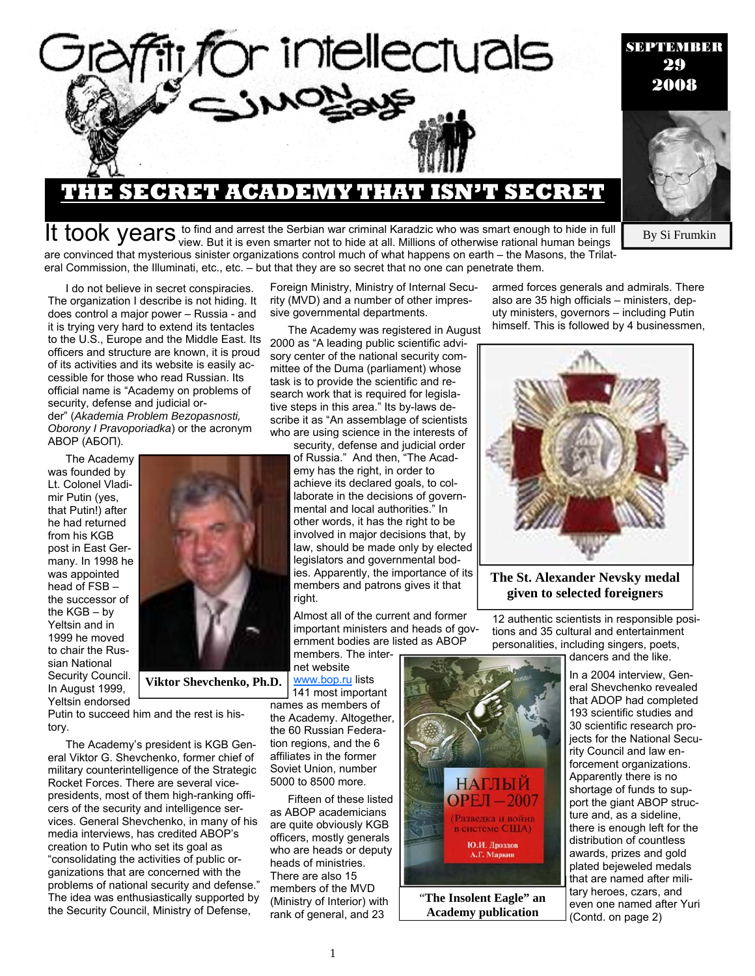

### **THE SECRET ACADEMY THAT ISN'T SECRET**

It took years to find and arrest the Serbian war criminal Karadzic who was smart enough to hide in full to hide in full seven smarter not to hide at all. Millions of otherwise rational human beings are convinced that mysterious sinister organizations control much of what happens on earth – the Masons, the Trilateral Commission, the Illuminati, etc., etc. – but that they are so secret that no one can penetrate them.

armed forces generals and admirals. There also are 35 high officials – ministers, deputy ministers, governors – including Putin himself. This is followed by 4 businessmen,

I do not believe in secret conspiracies. The organization I describe is not hiding. It does control a major power – Russia - and it is trying very hard to extend its tentacles to the U.S., Europe and the Middle East. Its officers and structure are known, it is proud of its activities and its website is easily accessible for those who read Russian. Its official name is "Academy on problems of security, defense and judicial order" (*Akademia Problem Bezopasnosti, Oborony I Pravoporiadka*) or the acronym ABOP (АБОП).

The Academy was founded by Lt. Colonel Vladimir Putin (yes, that Putin!) after he had returned from his KGB post in East Germany. In 1998 he was appointed head of FSB – the successor of the KGB – by Yeltsin and in 1999 he moved to chair the Russian National Security Council. In August 1999, Yeltsin endorsed



**Viktor Shevchenko, Ph.D.** 

Putin to succeed him and the rest is history.

The Academy's president is KGB General Viktor G. Shevchenko, former chief of military counterintelligence of the Strategic Rocket Forces. There are several vicepresidents, most of them high-ranking officers of the security and intelligence services. General Shevchenko, in many of his media interviews, has credited ABOP's creation to Putin who set its goal as "consolidating the activities of public organizations that are concerned with the problems of national security and defense." The idea was enthusiastically supported by the Security Council, Ministry of Defense,

Foreign Ministry, Ministry of Internal Security (MVD) and a number of other impressive governmental departments.

The Academy was registered in August 2000 as "A leading public scientific advisory center of the national security committee of the Duma (parliament) whose task is to provide the scientific and research work that is required for legislative steps in this area." Its by-laws describe it as "An assemblage of scientists who are using science in the interests of

security, defense and judicial order of Russia." And then, "The Academy has the right, in order to achieve its declared goals, to collaborate in the decisions of governmental and local authorities." In other words, it has the right to be involved in major decisions that, by law, should be made only by elected legislators and governmental bodies. Apparently, the importance of its members and patrons gives it that right.

Almost all of the current and former important ministers and heads of government bodies are listed as ABOP members. The inter-

net website www.bop.ru lists

141 most important names as members of the Academy. Altogether, the 60 Russian Federation regions, and the 6 affiliates in the former Soviet Union, number 5000 to 8500 more.

Fifteen of these listed as ABOP academicians are quite obviously KGB officers, mostly generals who are heads or deputy heads of ministries. There are also 15 members of the MVD (Ministry of Interior) with rank of general, and 23



**The St. Alexander Nevsky medal given to selected foreigners** 

12 authentic scientists in responsible positions and 35 cultural and entertainment personalities, including singers, poets, dancers and the like.

**НАГЛЫЙ**  $OPEJ - 2007$ (Разведка и война в системе США) Ю.И. Дроздов А.Г. Маркин "**The Insolent Eagle" an Academy publication** 



In a 2004 interview, General Shevchenko revealed that ADOP had completed 193 scientific studies and 30 scientific research projects for the National Security Council and law enforcement organizations. Apparently there is no shortage of funds to support the giant ABOP structure and, as a sideline, there is enough left for the distribution of countless awards, prizes and gold plated bejeweled medals that are named after military heroes, czars, and even one named after Yuri (Contd. on page 2)

By Si Frumkin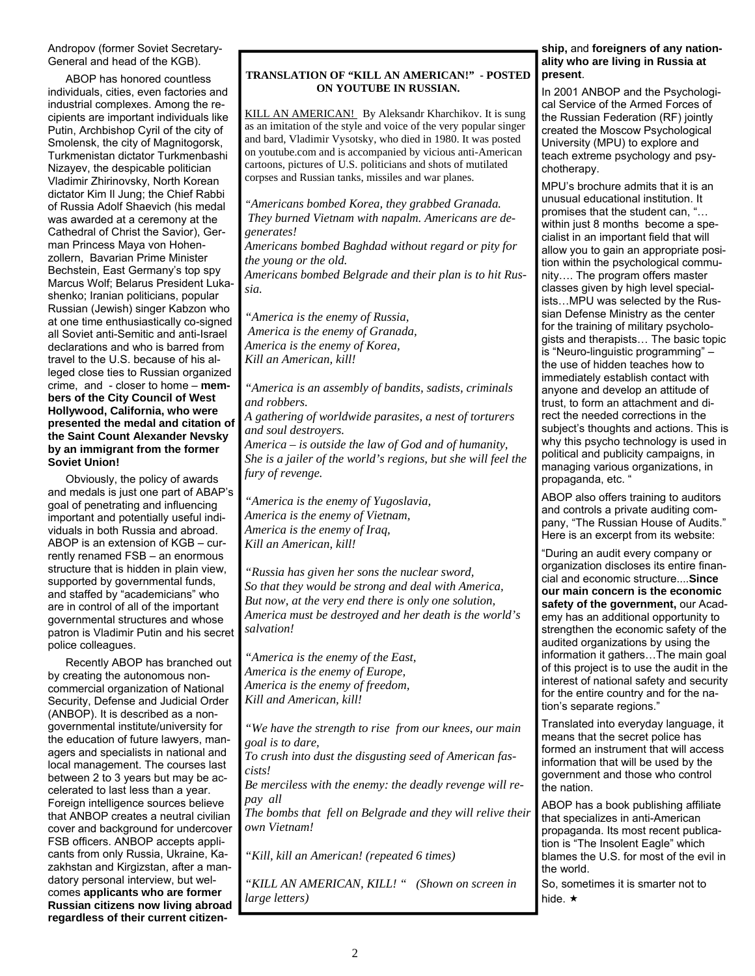### Andropov (former Soviet Secretary-General and head of the KGB).

ABOP has honored countless individuals, cities, even factories and industrial complexes. Among the recipients are important individuals like Putin, Archbishop Cyril of the city of Smolensk, the city of Magnitogorsk, Turkmenistan dictator Turkmenbashi Nizayev, the despicable politician Vladimir Zhirinovsky, North Korean dictator Kim Il Jung; the Chief Rabbi of Russia Adolf Shaevich (his medal was awarded at a ceremony at the Cathedral of Christ the Savior), German Princess Maya von Hohenzollern, Bavarian Prime Minister Bechstein, East Germany's top spy Marcus Wolf; Belarus President Lukashenko; Iranian politicians, popular Russian (Jewish) singer Kabzon who at one time enthusiastically co-signed all Soviet anti-Semitic and anti-Israel declarations and who is barred from travel to the U.S. because of his alleged close ties to Russian organized crime, and - closer to home – **members of the City Council of West Hollywood, California, who were presented the medal and citation of the Saint Count Alexander Nevsky by an immigrant from the former Soviet Union!** 

Obviously, the policy of awards and medals is just one part of ABAP's goal of penetrating and influencing important and potentially useful individuals in both Russia and abroad. ABOP is an extension of KGB – currently renamed FSB – an enormous structure that is hidden in plain view, supported by governmental funds, and staffed by "academicians" who are in control of all of the important governmental structures and whose patron is Vladimir Putin and his secret police colleagues.

Recently ABOP has branched out by creating the autonomous noncommercial organization of National Security, Defense and Judicial Order (ANBOP). It is described as a nongovernmental institute/university for the education of future lawyers, managers and specialists in national and local management. The courses last between 2 to 3 years but may be accelerated to last less than a year. Foreign intelligence sources believe that ANBOP creates a neutral civilian cover and background for undercover FSB officers. ANBOP accepts applicants from only Russia, Ukraine, Kazakhstan and Kirgizstan, after a mandatory personal interview, but welcomes **applicants who are former Russian citizens now living abroad regardless of their current citizen-**

### **TRANSLATION OF "KILL AN AMERICAN!" - POSTED ON YOUTUBE IN RUSSIAN.**

KILL AN AMERICAN! By Aleksandr Kharchikov. It is sung as an imitation of the style and voice of the very popular singer and bard, Vladimir Vysotsky, who died in 1980. It was posted on youtube.com and is accompanied by vicious anti-American cartoons, pictures of U.S. politicians and shots of mutilated corpses and Russian tanks, missiles and war planes.

*"Americans bombed Korea, they grabbed Granada. They burned Vietnam with napalm. Americans are degenerates!* 

*Americans bombed Baghdad without regard or pity for the young or the old.* 

*Americans bombed Belgrade and their plan is to hit Russia.* 

*"America is the enemy of Russia, America is the enemy of Granada, America is the enemy of Korea, Kill an American, kill!* 

*"America is an assembly of bandits, sadists, criminals and robbers.* 

*A gathering of worldwide parasites, a nest of torturers and soul destroyers.* 

*America – is outside the law of God and of humanity, She is a jailer of the world's regions, but she will feel the fury of revenge.* 

*"America is the enemy of Yugoslavia, America is the enemy of Vietnam, America is the enemy of Iraq, Kill an American, kill!* 

*"Russia has given her sons the nuclear sword, So that they would be strong and deal with America, But now, at the very end there is only one solution, America must be destroyed and her death is the world's salvation!* 

*"America is the enemy of the East, America is the enemy of Europe, America is the enemy of freedom, Kill and American, kill!* 

*"We have the strength to rise from our knees, our main goal is to dare,* 

*To crush into dust the disgusting seed of American fascists!* 

*Be merciless with the enemy: the deadly revenge will repay all* 

*The bombs that fell on Belgrade and they will relive their own Vietnam!* 

*"Kill, kill an American! (repeated 6 times)* 

*"KILL AN AMERICAN, KILL! " (Shown on screen in large letters)* 

### **ship,** and **foreigners of any nationality who are living in Russia at present**.

In 2001 ANBOP and the Psychological Service of the Armed Forces of the Russian Federation (RF) jointly created the Moscow Psychological University (MPU) to explore and teach extreme psychology and psychotherapy.

MPU's brochure admits that it is an unusual educational institution. It promises that the student can, "… within just 8 months become a specialist in an important field that will allow you to gain an appropriate position within the psychological community…. The program offers master classes given by high level specialists…MPU was selected by the Russian Defense Ministry as the center for the training of military psychologists and therapists… The basic topic is "Neuro-linguistic programming" – the use of hidden teaches how to immediately establish contact with anyone and develop an attitude of trust, to form an attachment and direct the needed corrections in the subject's thoughts and actions. This is why this psycho technology is used in political and publicity campaigns, in managing various organizations, in propaganda, etc. "

ABOP also offers training to auditors and controls a private auditing company, "The Russian House of Audits." Here is an excerpt from its website:

"During an audit every company or organization discloses its entire financial and economic structure....**Since our main concern is the economic safety of the government,** our Academy has an additional opportunity to strengthen the economic safety of the audited organizations by using the information it gathers…The main goal of this project is to use the audit in the interest of national safety and security for the entire country and for the nation's separate regions."

Translated into everyday language, it means that the secret police has formed an instrument that will access information that will be used by the government and those who control the nation.

ABOP has a book publishing affiliate that specializes in anti-American propaganda. Its most recent publication is "The Insolent Eagle" which blames the U.S. for most of the evil in the world.

So, sometimes it is smarter not to hide.  $\star$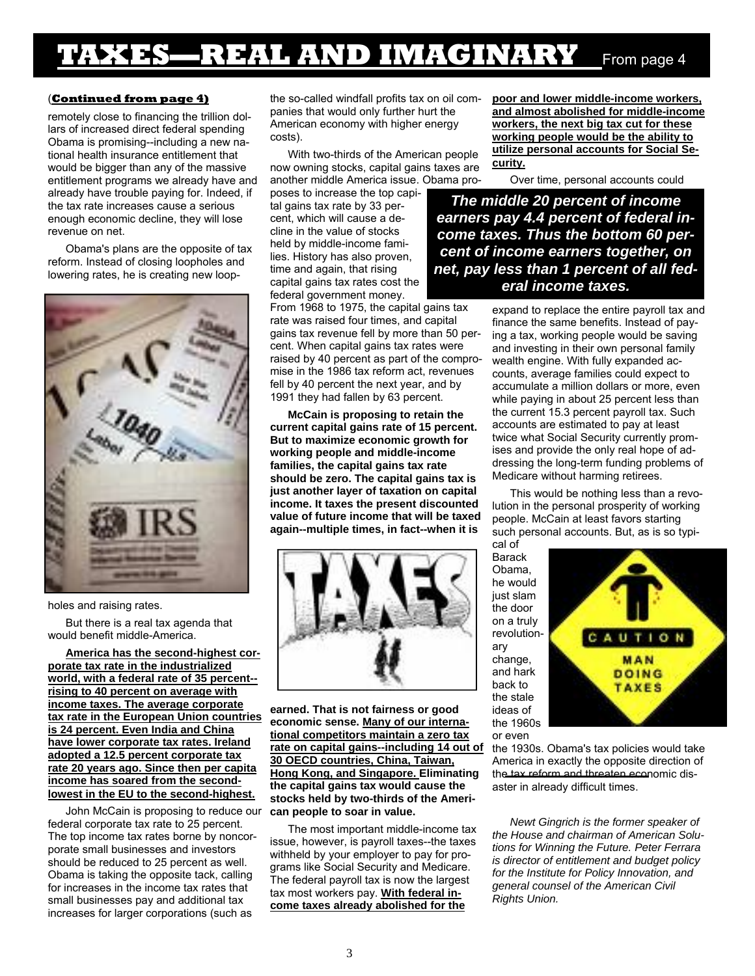## **TAXES—REAL AND IMAGINARY** From page 4

### (**Continued from page 4)**

remotely close to financing the trillion dollars of increased direct federal spending Obama is promising--including a new national health insurance entitlement that would be bigger than any of the massive entitlement programs we already have and already have trouble paying for. Indeed, if the tax rate increases cause a serious enough economic decline, they will lose revenue on net.

Obama's plans are the opposite of tax reform. Instead of closing loopholes and lowering rates, he is creating new loop-



#### holes and raising rates.

But there is a real tax agenda that would benefit middle-America.

**America has the second-highest corporate tax rate in the industrialized world, with a federal rate of 35 percent- rising to 40 percent on average with income taxes. The average corporate tax rate in the European Union countries is 24 percent. Even India and China have lower corporate tax rates. Ireland adopted a 12.5 percent corporate tax rate 20 years ago. Since then per capita income has soared from the secondlowest in the EU to the second-highest.**

John McCain is proposing to reduce our federal corporate tax rate to 25 percent. The top income tax rates borne by noncorporate small businesses and investors should be reduced to 25 percent as well. Obama is taking the opposite tack, calling for increases in the income tax rates that small businesses pay and additional tax increases for larger corporations (such as

the so-called windfall profits tax on oil companies that would only further hurt the American economy with higher energy costs).

With two-thirds of the American people now owning stocks, capital gains taxes are another middle America issue. Obama pro-

poses to increase the top capital gains tax rate by 33 percent, which will cause a decline in the value of stocks held by middle-income families. History has also proven, time and again, that rising capital gains tax rates cost the federal government money.

From 1968 to 1975, the capital gains tax rate was raised four times, and capital gains tax revenue fell by more than 50 percent. When capital gains tax rates were raised by 40 percent as part of the compromise in the 1986 tax reform act, revenues fell by 40 percent the next year, and by 1991 they had fallen by 63 percent.

**McCain is proposing to retain the current capital gains rate of 15 percent. But to maximize economic growth for working people and middle-income families, the capital gains tax rate should be zero. The capital gains tax is just another layer of taxation on capital income. It taxes the present discounted value of future income that will be taxed again--multiple times, in fact--when it is** 



**earned. That is not fairness or good economic sense. Many of our international competitors maintain a zero tax rate on capital gains--including 14 out of 30 OECD countries, China, Taiwan, Hong Kong, and Singapore. Eliminating the capital gains tax would cause the stocks held by two-thirds of the American people to soar in value.** 

The most important middle-income tax issue, however, is payroll taxes--the taxes withheld by your employer to pay for programs like Social Security and Medicare. The federal payroll tax is now the largest tax most workers pay. **With federal income taxes already abolished for the** 

**poor and lower middle-income workers, and almost abolished for middle-income workers, the next big tax cut for these working people would be the ability to utilize personal accounts for Social Security.**

Over time, personal accounts could

*The middle 20 percent of income earners pay 4.4 percent of federal income taxes. Thus the bottom 60 percent of income earners together, on net, pay less than 1 percent of all federal income taxes.* 

> expand to replace the entire payroll tax and finance the same benefits. Instead of paying a tax, working people would be saving and investing in their own personal family wealth engine. With fully expanded accounts, average families could expect to accumulate a million dollars or more, even while paying in about 25 percent less than the current 15.3 percent payroll tax. Such accounts are estimated to pay at least twice what Social Security currently promises and provide the only real hope of addressing the long-term funding problems of Medicare without harming retirees.

> This would be nothing less than a revolution in the personal prosperity of working people. McCain at least favors starting such personal accounts. But, as is so typical of

Barack Obama, he would just slam the door on a truly revolutionary change, and hark back to the stale ideas of the 1960s or even



the 1930s. Obama's tax policies would take America in exactly the opposite direction of the tax reform and threaten economic disaster in already difficult times.

*Newt Gingrich is the former speaker of the House and chairman of American Solutions for Winning the Future. Peter Ferrara is director of entitlement and budget policy for the Institute for Policy Innovation, and general counsel of the American Civil Rights Union.*